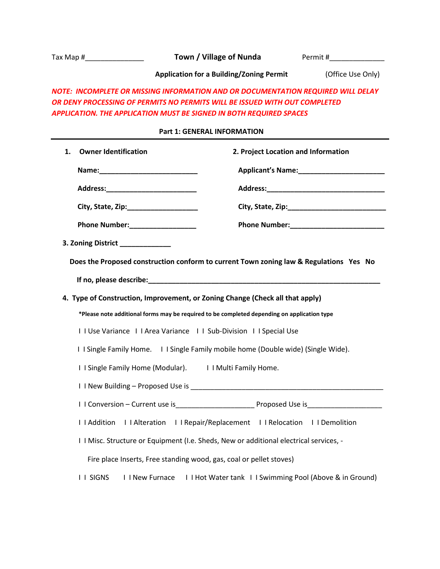| Tax Map $\sharp$ $\qquad \qquad$                                                                                                                                                                                                      |                                                          | Town / Village of Nunda                                                                     | Permit #                                                                               |  |  |  |
|---------------------------------------------------------------------------------------------------------------------------------------------------------------------------------------------------------------------------------------|----------------------------------------------------------|---------------------------------------------------------------------------------------------|----------------------------------------------------------------------------------------|--|--|--|
| <b>Application for a Building/Zoning Permit</b>                                                                                                                                                                                       |                                                          |                                                                                             | (Office Use Only)                                                                      |  |  |  |
| NOTE: INCOMPLETE OR MISSING INFORMATION AND OR DOCUMENTATION REQUIRED WILL DELAY<br>OR DENY PROCESSING OF PERMITS NO PERMITS WILL BE ISSUED WITH OUT COMPLETED<br>APPLICATION. THE APPLICATION MUST BE SIGNED IN BOTH REQUIRED SPACES |                                                          |                                                                                             |                                                                                        |  |  |  |
| <b>Part 1: GENERAL INFORMATION</b>                                                                                                                                                                                                    |                                                          |                                                                                             |                                                                                        |  |  |  |
| <b>Owner Identification</b><br>1.                                                                                                                                                                                                     |                                                          | 2. Project Location and Information                                                         |                                                                                        |  |  |  |
|                                                                                                                                                                                                                                       |                                                          |                                                                                             |                                                                                        |  |  |  |
|                                                                                                                                                                                                                                       |                                                          |                                                                                             |                                                                                        |  |  |  |
| City, State, Zip:_____________________                                                                                                                                                                                                |                                                          |                                                                                             |                                                                                        |  |  |  |
| Phone Number:__________________                                                                                                                                                                                                       |                                                          |                                                                                             |                                                                                        |  |  |  |
| 3. Zoning District ______________                                                                                                                                                                                                     |                                                          |                                                                                             |                                                                                        |  |  |  |
|                                                                                                                                                                                                                                       |                                                          | 4. Type of Construction, Improvement, or Zoning Change (Check all that apply)               | Does the Proposed construction conform to current Town zoning law & Regulations Yes No |  |  |  |
|                                                                                                                                                                                                                                       |                                                          | *Please note additional forms may be required to be completed depending on application type |                                                                                        |  |  |  |
|                                                                                                                                                                                                                                       |                                                          | I I Use Variance I I Area Variance I I Sub-Division I I Special Use                         |                                                                                        |  |  |  |
|                                                                                                                                                                                                                                       |                                                          | I I Single Family Home. I I Single Family mobile home (Double wide) (Single Wide).          |                                                                                        |  |  |  |
|                                                                                                                                                                                                                                       | I I Single Family Home (Modular). I I Multi Family Home. |                                                                                             |                                                                                        |  |  |  |
|                                                                                                                                                                                                                                       |                                                          |                                                                                             |                                                                                        |  |  |  |
|                                                                                                                                                                                                                                       |                                                          |                                                                                             |                                                                                        |  |  |  |
| I I Addition                                                                                                                                                                                                                          | I I Alteration                                           | I I Repair/Replacement I I Relocation                                                       | I I Demolition                                                                         |  |  |  |
|                                                                                                                                                                                                                                       |                                                          | I I Misc. Structure or Equipment (I.e. Sheds, New or additional electrical services, -      |                                                                                        |  |  |  |
|                                                                                                                                                                                                                                       |                                                          | Fire place Inserts, Free standing wood, gas, coal or pellet stoves)                         |                                                                                        |  |  |  |
| <b>I I SIGNS</b>                                                                                                                                                                                                                      | I I New Furnace                                          |                                                                                             | I I Hot Water tank I I Swimming Pool (Above & in Ground)                               |  |  |  |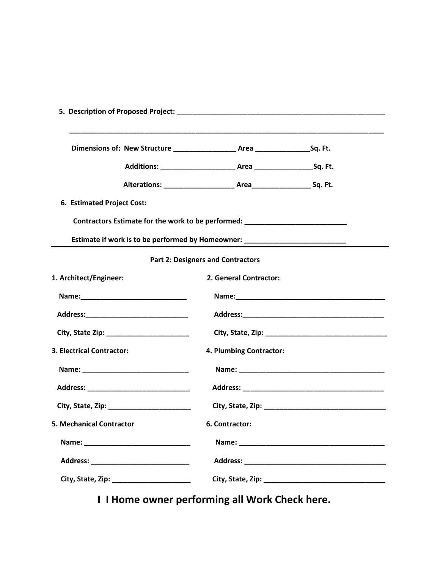| 6. Estimated Project Cost:                                                       |                         |  |  |  |  |  |
|----------------------------------------------------------------------------------|-------------------------|--|--|--|--|--|
| Contractors Estimate for the work to be performed: _____________________________ |                         |  |  |  |  |  |
| Estimate if work is to be performed by Homeowner: ______________________________ |                         |  |  |  |  |  |
| <b>Part 2: Designers and Contractors</b>                                         |                         |  |  |  |  |  |
| 1. Architect/Engineer:                                                           | 2. General Contractor:  |  |  |  |  |  |
|                                                                                  |                         |  |  |  |  |  |
|                                                                                  |                         |  |  |  |  |  |
|                                                                                  |                         |  |  |  |  |  |
| 3. Electrical Contractor:                                                        | 4. Plumbing Contractor: |  |  |  |  |  |
|                                                                                  |                         |  |  |  |  |  |
|                                                                                  |                         |  |  |  |  |  |
|                                                                                  |                         |  |  |  |  |  |
| <b>5. Mechanical Contractor</b>                                                  | 6. Contractor:          |  |  |  |  |  |
|                                                                                  |                         |  |  |  |  |  |
|                                                                                  |                         |  |  |  |  |  |
|                                                                                  |                         |  |  |  |  |  |

 **I I Home owner performing all Work Check here.**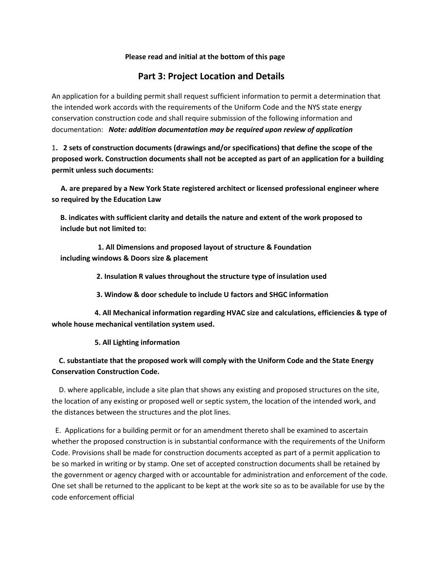#### **Please read and initial at the bottom of this page**

### **Part 3: Project Location and Details**

An application for a building permit shall request sufficient information to permit a determination that the intended work accords with the requirements of the Uniform Code and the NYS state energy conservation construction code and shall require submission of the following information and documentation: *Note: addition documentation may be required upon review of application*

1**. 2 sets of construction documents (drawings and/or specifications) that define the scope of the proposed work. Construction documents shall not be accepted as part of an application for a building permit unless such documents:**

 **A. are prepared by a New York State registered architect or licensed professional engineer where so required by the Education Law**

**B. indicates with sufficient clarity and details the nature and extent of the work proposed to include but not limited to:** 

 **1. All Dimensions and proposed layout of structure & Foundation including windows & Doors size & placement**

 **2. Insulation R values throughout the structure type of insulation used**

 **3. Window & door schedule to include U factors and SHGC information** 

 **4. All Mechanical information regarding HVAC size and calculations, efficiencies & type of whole house mechanical ventilation system used.** 

 **5. All Lighting information** 

### **C. substantiate that the proposed work will comply with the Uniform Code and the State Energy Conservation Construction Code.**

 D. where applicable, include a site plan that shows any existing and proposed structures on the site, the location of any existing or proposed well or septic system, the location of the intended work, and the distances between the structures and the plot lines.

 E. Applications for a building permit or for an amendment thereto shall be examined to ascertain whether the proposed construction is in substantial conformance with the requirements of the Uniform Code. Provisions shall be made for construction documents accepted as part of a permit application to be so marked in writing or by stamp. One set of accepted construction documents shall be retained by the government or agency charged with or accountable for administration and enforcement of the code. One set shall be returned to the applicant to be kept at the work site so as to be available for use by the code enforcement official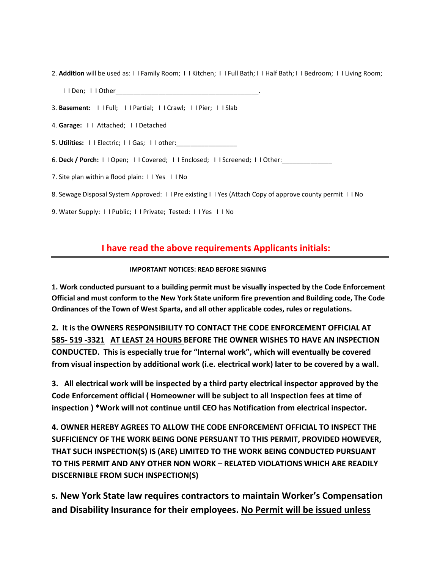- 2. **Addition** will be used as: I I Family Room; I I Kitchen; I I Full Bath; I I Half Bath; I I Bedroom; I I Living Room; I I Den; I I Other
- 3. **Basement:** I I Full; I I Partial; I I Crawl; I I Pier; I I Slab
- 4. **Garage:** I I Attached; I I Detached
- 5. **Utilities:** I I Electric; I I Gas; I I other:\_\_\_\_\_\_\_\_\_\_\_\_\_\_\_\_\_
- 6. **Deck / Porch:** I I Open; I I Covered; I I Enclosed; I I Screened; I I Other:\_\_\_\_\_\_\_\_\_\_\_\_\_\_
- 7. Site plan within a flood plain: I I Yes I I No
- 8. Sewage Disposal System Approved: I I Pre existing I I Yes (Attach Copy of approve county permit I I No
- 9. Water Supply: I I Public; I I Private; Tested: I I Yes I I No

## **I have read the above requirements Applicants initials:**

#### **IMPORTANT NOTICES: READ BEFORE SIGNING**

**1. Work conducted pursuant to a building permit must be visually inspected by the Code Enforcement Official and must conform to the New York State uniform fire prevention and Building code, The Code Ordinances of the Town of West Sparta, and all other applicable codes, rules or regulations.**

**2. It is the OWNERS RESPONSIBILITY TO CONTACT THE CODE ENFORCEMENT OFFICIAL AT 585- 519 -3321 AT LEAST 24 HOURS BEFORE THE OWNER WISHES TO HAVE AN INSPECTION CONDUCTED. This is especially true for "Internal work", which will eventually be covered from visual inspection by additional work (i.e. electrical work) later to be covered by a wall.**

**3. All electrical work will be inspected by a third party electrical inspector approved by the Code Enforcement official ( Homeowner will be subject to all Inspection fees at time of inspection ) \*Work will not continue until CEO has Notification from electrical inspector.** 

**4. OWNER HEREBY AGREES TO ALLOW THE CODE ENFORCEMENT OFFICIAL TO INSPECT THE SUFFICIENCY OF THE WORK BEING DONE PERSUANT TO THIS PERMIT, PROVIDED HOWEVER, THAT SUCH INSPECTION(S) IS (ARE) LIMITED TO THE WORK BEING CONDUCTED PURSUANT TO THIS PERMIT AND ANY OTHER NON WORK – RELATED VIOLATIONS WHICH ARE READILY DISCERNIBLE FROM SUCH INSPECTION(S)**

**5. New York State law requires contractors to maintain Worker's Compensation and Disability Insurance for their employees. No Permit will be issued unless**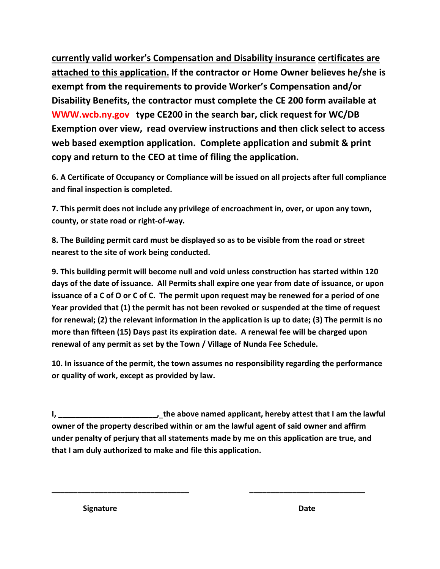**currently valid worker's Compensation and Disability insurance certificates are attached to this application. If the contractor or Home Owner believes he/she is exempt from the requirements to provide Worker's Compensation and/or Disability Benefits, the contractor must complete the CE 200 form available at WWW.wcb.ny.gov type CE200 in the search bar, click request for WC/DB Exemption over view, read overview instructions and then click select to access web based exemption application. Complete application and submit & print copy and return to the CEO at time of filing the application.**

**6. A Certificate of Occupancy or Compliance will be issued on all projects after full compliance and final inspection is completed.**

**7. This permit does not include any privilege of encroachment in, over, or upon any town, county, or state road or right-of-way.**

**8. The Building permit card must be displayed so as to be visible from the road or street nearest to the site of work being conducted.**

**9. This building permit will become null and void unless construction has started within 120 days of the date of issuance. All Permits shall expire one year from date of issuance, or upon issuance of a C of O or C of C. The permit upon request may be renewed for a period of one Year provided that (1) the permit has not been revoked or suspended at the time of request for renewal; (2) the relevant information in the application is up to date; (3) The permit is no more than fifteen (15) Days past its expiration date. A renewal fee will be charged upon renewal of any permit as set by the Town / Village of Nunda Fee Schedule.**

**10. In issuance of the permit, the town assumes no responsibility regarding the performance or quality of work, except as provided by law.**

**I, \_\_\_\_\_\_\_\_\_\_\_\_\_\_\_\_\_\_\_\_\_\_\_, the above named applicant, hereby attest that I am the lawful owner of the property described within or am the lawful agent of said owner and affirm under penalty of perjury that all statements made by me on this application are true, and that I am duly authorized to make and file this application.**

**\_\_\_\_\_\_\_\_\_\_\_\_\_\_\_\_\_\_\_\_\_\_\_\_\_\_\_\_\_\_\_\_ \_\_\_\_\_\_\_\_\_\_\_\_\_\_\_\_\_\_\_\_\_\_\_\_\_\_\_**

**Signature Date**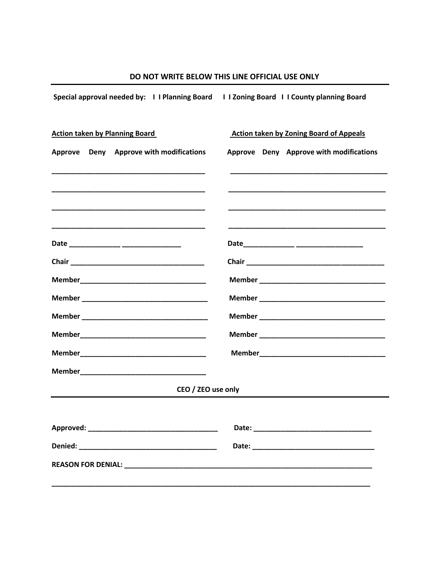| Special approval needed by: I I Planning Board I I Zoning Board I I County planning Board |                                                |  |  |  |  |  |
|-------------------------------------------------------------------------------------------|------------------------------------------------|--|--|--|--|--|
| <b>Action taken by Planning Board</b>                                                     | <b>Action taken by Zoning Board of Appeals</b> |  |  |  |  |  |
| Approve Deny Approve with modifications                                                   | Approve Deny Approve with modifications        |  |  |  |  |  |
|                                                                                           |                                                |  |  |  |  |  |
|                                                                                           |                                                |  |  |  |  |  |
|                                                                                           |                                                |  |  |  |  |  |
|                                                                                           |                                                |  |  |  |  |  |
|                                                                                           |                                                |  |  |  |  |  |
|                                                                                           |                                                |  |  |  |  |  |
|                                                                                           |                                                |  |  |  |  |  |
|                                                                                           |                                                |  |  |  |  |  |
|                                                                                           |                                                |  |  |  |  |  |
|                                                                                           |                                                |  |  |  |  |  |
| CEO / ZEO use only                                                                        |                                                |  |  |  |  |  |
|                                                                                           |                                                |  |  |  |  |  |
|                                                                                           |                                                |  |  |  |  |  |
|                                                                                           |                                                |  |  |  |  |  |
|                                                                                           |                                                |  |  |  |  |  |
|                                                                                           |                                                |  |  |  |  |  |

# DO NOT WRITE BELOW THIS LINE OFFICIAL USE ONLY